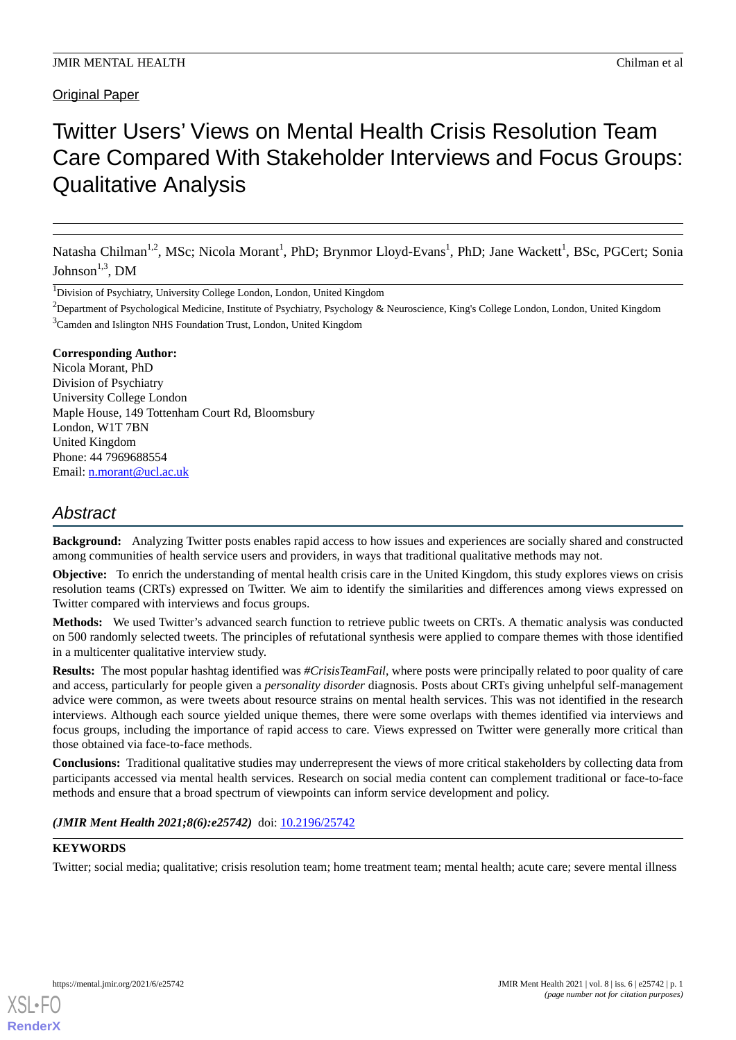# Original Paper

# Twitter Users' Views on Mental Health Crisis Resolution Team Care Compared With Stakeholder Interviews and Focus Groups: Qualitative Analysis

Natasha Chilman<sup>1,2</sup>, MSc; Nicola Morant<sup>1</sup>, PhD; Brynmor Lloyd-Evans<sup>1</sup>, PhD; Jane Wackett<sup>1</sup>, BSc, PGCert; Sonia Johnson $^{1,3}$ , DM

<sup>1</sup>Division of Psychiatry, University College London, London, United Kingdom

 ${}^{2}$ Department of Psychological Medicine, Institute of Psychiatry, Psychology & Neuroscience, King's College London, London, United Kingdom <sup>3</sup>Camden and Islington NHS Foundation Trust, London, United Kingdom

# **Corresponding Author:**

Nicola Morant, PhD Division of Psychiatry University College London Maple House, 149 Tottenham Court Rd, Bloomsbury London, W1T 7BN United Kingdom Phone: 44 7969688554 Email: [n.morant@ucl.ac.uk](mailto:n.morant@ucl.ac.uk)

# *Abstract*

**Background:** Analyzing Twitter posts enables rapid access to how issues and experiences are socially shared and constructed among communities of health service users and providers, in ways that traditional qualitative methods may not.

**Objective:** To enrich the understanding of mental health crisis care in the United Kingdom, this study explores views on crisis resolution teams (CRTs) expressed on Twitter. We aim to identify the similarities and differences among views expressed on Twitter compared with interviews and focus groups.

**Methods:** We used Twitter's advanced search function to retrieve public tweets on CRTs. A thematic analysis was conducted on 500 randomly selected tweets. The principles of refutational synthesis were applied to compare themes with those identified in a multicenter qualitative interview study.

**Results:** The most popular hashtag identified was *#CrisisTeamFail*, where posts were principally related to poor quality of care and access, particularly for people given a *personality disorder* diagnosis. Posts about CRTs giving unhelpful self-management advice were common, as were tweets about resource strains on mental health services. This was not identified in the research interviews. Although each source yielded unique themes, there were some overlaps with themes identified via interviews and focus groups, including the importance of rapid access to care. Views expressed on Twitter were generally more critical than those obtained via face-to-face methods.

**Conclusions:** Traditional qualitative studies may underrepresent the views of more critical stakeholders by collecting data from participants accessed via mental health services. Research on social media content can complement traditional or face-to-face methods and ensure that a broad spectrum of viewpoints can inform service development and policy.

# (JMIR Ment Health 2021;8(6):e25742) doi: [10.2196/25742](http://dx.doi.org/10.2196/25742)

# **KEYWORDS**

Twitter; social media; qualitative; crisis resolution team; home treatment team; mental health; acute care; severe mental illness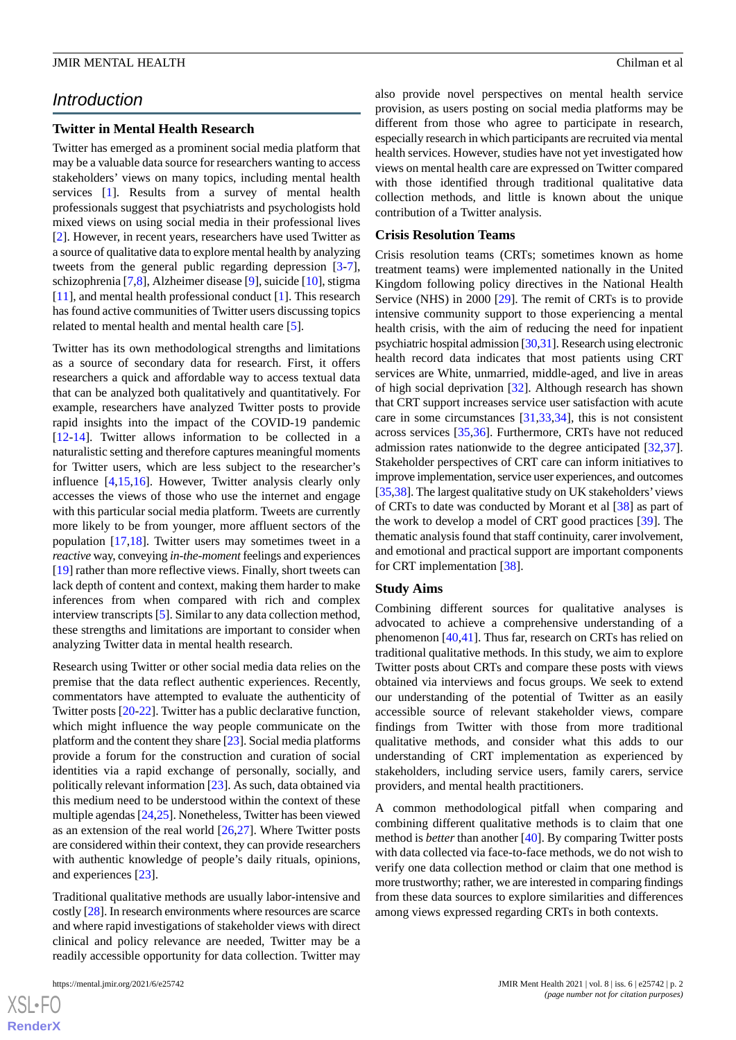# *Introduction*

# **Twitter in Mental Health Research**

Twitter has emerged as a prominent social media platform that may be a valuable data source for researchers wanting to access stakeholders' views on many topics, including mental health services [[1\]](#page-8-0). Results from a survey of mental health professionals suggest that psychiatrists and psychologists hold mixed views on using social media in their professional lives [[2\]](#page-8-1). However, in recent years, researchers have used Twitter as a source of qualitative data to explore mental health by analyzing tweets from the general public regarding depression [\[3-](#page-9-0)[7\]](#page-9-1), schizophrenia [\[7](#page-9-1)[,8\]](#page-9-2), Alzheimer disease [\[9](#page-9-3)], suicide [\[10](#page-9-4)], stigma [[11\]](#page-9-5), and mental health professional conduct [\[1](#page-8-0)]. This research has found active communities of Twitter users discussing topics related to mental health and mental health care [\[5](#page-9-6)].

Twitter has its own methodological strengths and limitations as a source of secondary data for research. First, it offers researchers a quick and affordable way to access textual data that can be analyzed both qualitatively and quantitatively. For example, researchers have analyzed Twitter posts to provide rapid insights into the impact of the COVID-19 pandemic [[12](#page-9-7)[-14](#page-9-8)]. Twitter allows information to be collected in a naturalistic setting and therefore captures meaningful moments for Twitter users, which are less subject to the researcher's influence [[4](#page-9-9)[,15](#page-9-10),[16\]](#page-9-11). However, Twitter analysis clearly only accesses the views of those who use the internet and engage with this particular social media platform. Tweets are currently more likely to be from younger, more affluent sectors of the population [[17,](#page-9-12)[18](#page-9-13)]. Twitter users may sometimes tweet in a *reactive* way, conveying *in-the-moment* feelings and experiences [[19\]](#page-9-14) rather than more reflective views. Finally, short tweets can lack depth of content and context, making them harder to make inferences from when compared with rich and complex interview transcripts [[5\]](#page-9-6). Similar to any data collection method, these strengths and limitations are important to consider when analyzing Twitter data in mental health research.

Research using Twitter or other social media data relies on the premise that the data reflect authentic experiences. Recently, commentators have attempted to evaluate the authenticity of Twitter posts [\[20](#page-9-15)-[22\]](#page-9-16). Twitter has a public declarative function, which might influence the way people communicate on the platform and the content they share [\[23\]](#page-9-17). Social media platforms provide a forum for the construction and curation of social identities via a rapid exchange of personally, socially, and politically relevant information [\[23](#page-9-17)]. As such, data obtained via this medium need to be understood within the context of these multiple agendas [\[24](#page-9-18),[25\]](#page-9-19). Nonetheless, Twitter has been viewed as an extension of the real world [\[26](#page-9-20),[27\]](#page-10-0). Where Twitter posts are considered within their context, they can provide researchers with authentic knowledge of people's daily rituals, opinions, and experiences [\[23](#page-9-17)].

Traditional qualitative methods are usually labor-intensive and costly [\[28\]](#page-10-1). In research environments where resources are scarce and where rapid investigations of stakeholder views with direct clinical and policy relevance are needed, Twitter may be a readily accessible opportunity for data collection. Twitter may

 $XS$  $\cdot$ FC **[RenderX](http://www.renderx.com/)** also provide novel perspectives on mental health service provision, as users posting on social media platforms may be different from those who agree to participate in research, especially research in which participants are recruited via mental health services. However, studies have not yet investigated how views on mental health care are expressed on Twitter compared with those identified through traditional qualitative data collection methods, and little is known about the unique contribution of a Twitter analysis.

#### **Crisis Resolution Teams**

Crisis resolution teams (CRTs; sometimes known as home treatment teams) were implemented nationally in the United Kingdom following policy directives in the National Health Service (NHS) in 2000 [\[29](#page-10-2)]. The remit of CRTs is to provide intensive community support to those experiencing a mental health crisis, with the aim of reducing the need for inpatient psychiatric hospital admission [\[30,](#page-10-3)[31\]](#page-10-4). Research using electronic health record data indicates that most patients using CRT services are White, unmarried, middle-aged, and live in areas of high social deprivation [\[32](#page-10-5)]. Although research has shown that CRT support increases service user satisfaction with acute care in some circumstances [[31,](#page-10-4)[33](#page-10-6),[34\]](#page-10-7), this is not consistent across services [\[35](#page-10-8),[36\]](#page-10-9). Furthermore, CRTs have not reduced admission rates nationwide to the degree anticipated [\[32](#page-10-5),[37\]](#page-10-10). Stakeholder perspectives of CRT care can inform initiatives to improve implementation, service user experiences, and outcomes [[35](#page-10-8)[,38](#page-10-11)]. The largest qualitative study on UK stakeholders' views of CRTs to date was conducted by Morant et al [\[38](#page-10-11)] as part of the work to develop a model of CRT good practices [[39\]](#page-10-12). The thematic analysis found that staff continuity, carer involvement, and emotional and practical support are important components for CRT implementation [[38\]](#page-10-11).

#### **Study Aims**

Combining different sources for qualitative analyses is advocated to achieve a comprehensive understanding of a phenomenon [[40](#page-10-13)[,41](#page-10-14)]. Thus far, research on CRTs has relied on traditional qualitative methods. In this study, we aim to explore Twitter posts about CRTs and compare these posts with views obtained via interviews and focus groups. We seek to extend our understanding of the potential of Twitter as an easily accessible source of relevant stakeholder views, compare findings from Twitter with those from more traditional qualitative methods, and consider what this adds to our understanding of CRT implementation as experienced by stakeholders, including service users, family carers, service providers, and mental health practitioners.

A common methodological pitfall when comparing and combining different qualitative methods is to claim that one method is *better* than another [[40\]](#page-10-13). By comparing Twitter posts with data collected via face-to-face methods, we do not wish to verify one data collection method or claim that one method is more trustworthy; rather, we are interested in comparing findings from these data sources to explore similarities and differences among views expressed regarding CRTs in both contexts.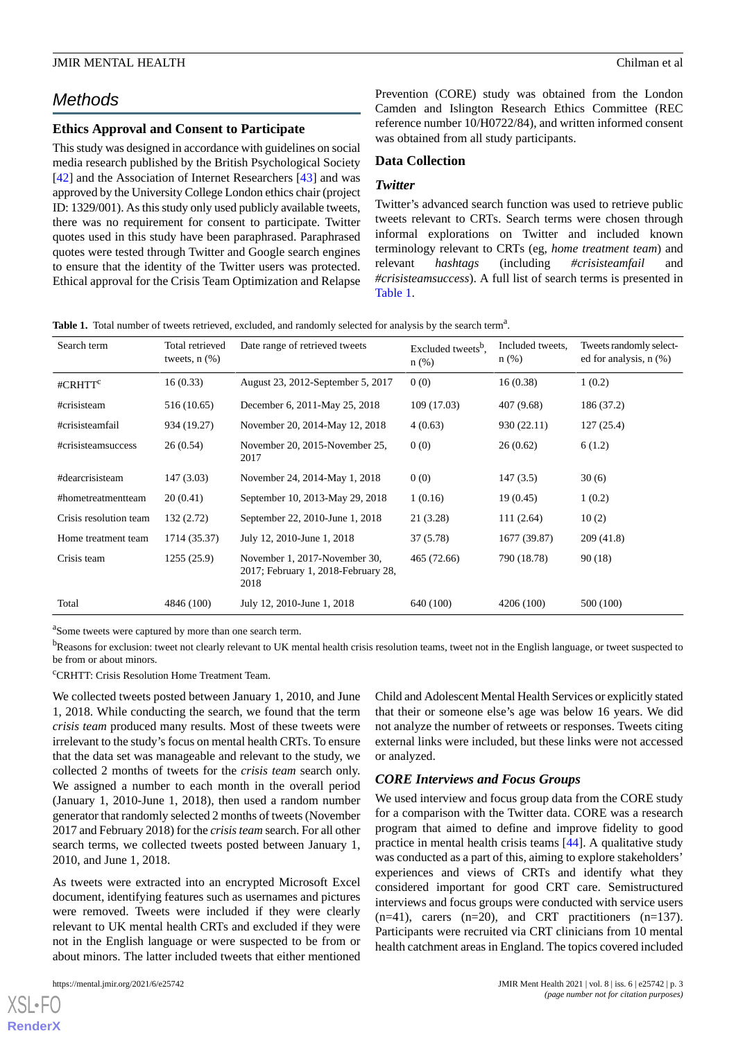# *Methods*

# **Ethics Approval and Consent to Participate**

This study was designed in accordance with guidelines on social media research published by the British Psychological Society [[42\]](#page-10-15) and the Association of Internet Researchers [\[43](#page-10-16)] and was approved by the University College London ethics chair (project ID: 1329/001). As this study only used publicly available tweets, there was no requirement for consent to participate. Twitter quotes used in this study have been paraphrased. Paraphrased quotes were tested through Twitter and Google search engines to ensure that the identity of the Twitter users was protected. Ethical approval for the Crisis Team Optimization and Relapse Prevention (CORE) study was obtained from the London Camden and Islington Research Ethics Committee (REC reference number 10/H0722/84), and written informed consent was obtained from all study participants.

# **Data Collection**

# *Twitter*

Twitter's advanced search function was used to retrieve public tweets relevant to CRTs. Search terms were chosen through informal explorations on Twitter and included known terminology relevant to CRTs (eg, *home treatment team*) and relevant *hashtags* (including *#crisisteamfail* and *#crisisteamsuccess*). A full list of search terms is presented in [Table 1](#page-2-0).

<span id="page-2-0"></span>Table 1. Total number of tweets retrieved, excluded, and randomly selected for analysis by the search term<sup>a</sup>.

| Search term            | Total retrieved<br>tweets, $n$ $(\%)$ | Date range of retrieved tweets                                               | Excluded tweets <sup>b</sup> ,<br>$n$ (%) | Included tweets.<br>$n$ (%) | Tweets randomly select-<br>ed for analysis, $n$ $(\%)$ |
|------------------------|---------------------------------------|------------------------------------------------------------------------------|-------------------------------------------|-----------------------------|--------------------------------------------------------|
| #CRHTT <sup>c</sup>    | 16(0.33)                              | August 23, 2012-September 5, 2017                                            | 0(0)                                      | 16(0.38)                    | 1(0.2)                                                 |
| #crisisteam            | 516 (10.65)                           | December 6, 2011-May 25, 2018                                                | 109 (17.03)                               | 407 (9.68)                  | 186 (37.2)                                             |
| #crisisteamfail        | 934 (19.27)                           | November 20, 2014-May 12, 2018                                               | 4(0.63)                                   | 930 (22.11)                 | 127(25.4)                                              |
| #crisisteamsuccess     | 26(0.54)                              | November 20, 2015-November 25,<br>2017                                       | 0(0)                                      | 26(0.62)                    | 6(1.2)                                                 |
| #dearcrisisteam        | 147 (3.03)                            | November 24, 2014-May 1, 2018                                                | 0(0)                                      | 147(3.5)                    | 30(6)                                                  |
| #hometreatmentteam     | 20(0.41)                              | September 10, 2013-May 29, 2018                                              | 1(0.16)                                   | 19(0.45)                    | 1(0.2)                                                 |
| Crisis resolution team | 132 (2.72)                            | September 22, 2010-June 1, 2018                                              | 21 (3.28)                                 | 111(2.64)                   | 10(2)                                                  |
| Home treatment team    | 1714 (35.37)                          | July 12, 2010-June 1, 2018                                                   | 37(5.78)                                  | 1677 (39.87)                | 209(41.8)                                              |
| Crisis team            | 1255(25.9)                            | November 1, 2017-November 30,<br>2017; February 1, 2018-February 28,<br>2018 | 465 (72.66)                               | 790 (18.78)                 | 90(18)                                                 |
| Total                  | 4846 (100)                            | July 12, 2010-June 1, 2018                                                   | 640 (100)                                 | 4206 (100)                  | 500 (100)                                              |

<sup>a</sup>Some tweets were captured by more than one search term.

<sup>b</sup>Reasons for exclusion: tweet not clearly relevant to UK mental health crisis resolution teams, tweet not in the English language, or tweet suspected to be from or about minors.

<sup>c</sup>CRHTT: Crisis Resolution Home Treatment Team.

We collected tweets posted between January 1, 2010, and June 1, 2018. While conducting the search, we found that the term *crisis team* produced many results. Most of these tweets were irrelevant to the study's focus on mental health CRTs. To ensure that the data set was manageable and relevant to the study, we collected 2 months of tweets for the *crisis team* search only. We assigned a number to each month in the overall period (January 1, 2010-June 1, 2018), then used a random number generator that randomly selected 2 months of tweets (November 2017 and February 2018) for the *crisis team* search. For all other search terms, we collected tweets posted between January 1, 2010, and June 1, 2018.

As tweets were extracted into an encrypted Microsoft Excel document, identifying features such as usernames and pictures were removed. Tweets were included if they were clearly relevant to UK mental health CRTs and excluded if they were not in the English language or were suspected to be from or about minors. The latter included tweets that either mentioned

[XSL](http://www.w3.org/Style/XSL)•FO **[RenderX](http://www.renderx.com/)**

Child and Adolescent Mental Health Services or explicitly stated that their or someone else's age was below 16 years. We did not analyze the number of retweets or responses. Tweets citing external links were included, but these links were not accessed or analyzed.

# *CORE Interviews and Focus Groups*

We used interview and focus group data from the CORE study for a comparison with the Twitter data. CORE was a research program that aimed to define and improve fidelity to good practice in mental health crisis teams [\[44](#page-10-17)]. A qualitative study was conducted as a part of this, aiming to explore stakeholders' experiences and views of CRTs and identify what they considered important for good CRT care. Semistructured interviews and focus groups were conducted with service users  $(n=41)$ , carers  $(n=20)$ , and CRT practitioners  $(n=137)$ . Participants were recruited via CRT clinicians from 10 mental health catchment areas in England. The topics covered included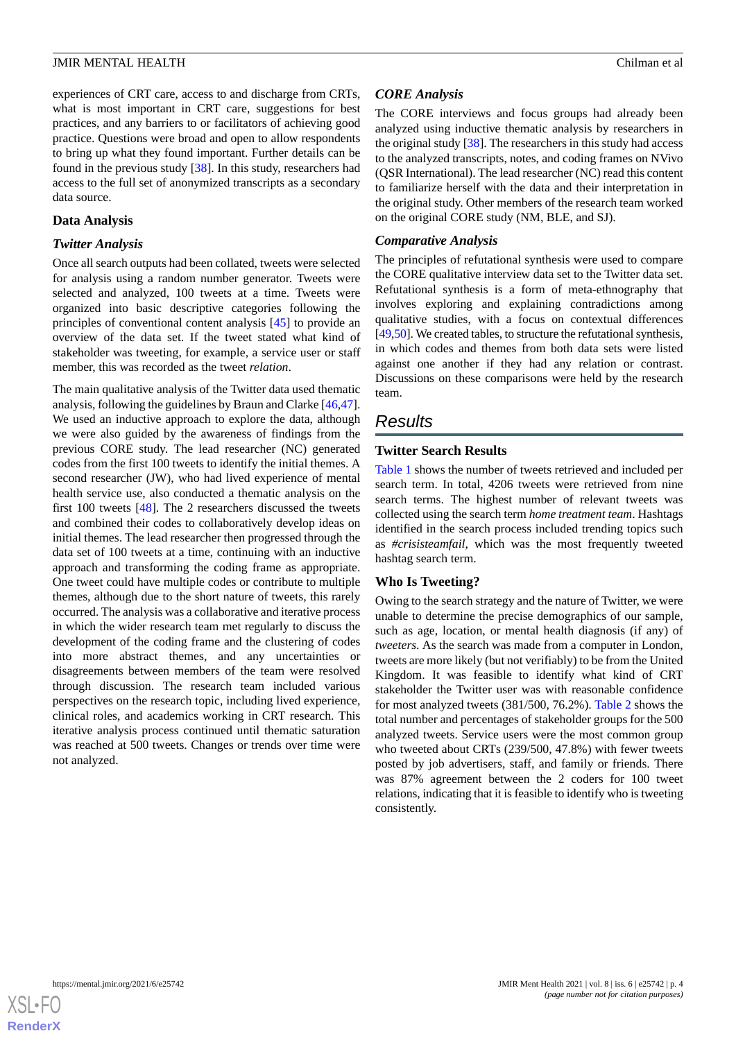experiences of CRT care, access to and discharge from CRTs, what is most important in CRT care, suggestions for best practices, and any barriers to or facilitators of achieving good practice. Questions were broad and open to allow respondents to bring up what they found important. Further details can be found in the previous study [[38\]](#page-10-11). In this study, researchers had access to the full set of anonymized transcripts as a secondary data source.

# **Data Analysis**

#### *Twitter Analysis*

Once all search outputs had been collated, tweets were selected for analysis using a random number generator. Tweets were selected and analyzed, 100 tweets at a time. Tweets were organized into basic descriptive categories following the principles of conventional content analysis [[45\]](#page-10-18) to provide an overview of the data set. If the tweet stated what kind of stakeholder was tweeting, for example, a service user or staff member, this was recorded as the tweet *relation*.

The main qualitative analysis of the Twitter data used thematic analysis, following the guidelines by Braun and Clarke [\[46](#page-10-19),[47\]](#page-10-20). We used an inductive approach to explore the data, although we were also guided by the awareness of findings from the previous CORE study. The lead researcher (NC) generated codes from the first 100 tweets to identify the initial themes. A second researcher (JW), who had lived experience of mental health service use, also conducted a thematic analysis on the first 100 tweets [[48\]](#page-10-21). The 2 researchers discussed the tweets and combined their codes to collaboratively develop ideas on initial themes. The lead researcher then progressed through the data set of 100 tweets at a time, continuing with an inductive approach and transforming the coding frame as appropriate. One tweet could have multiple codes or contribute to multiple themes, although due to the short nature of tweets, this rarely occurred. The analysis was a collaborative and iterative process in which the wider research team met regularly to discuss the development of the coding frame and the clustering of codes into more abstract themes, and any uncertainties or disagreements between members of the team were resolved through discussion. The research team included various perspectives on the research topic, including lived experience, clinical roles, and academics working in CRT research. This iterative analysis process continued until thematic saturation was reached at 500 tweets. Changes or trends over time were not analyzed.

# *CORE Analysis*

The CORE interviews and focus groups had already been analyzed using inductive thematic analysis by researchers in the original study [\[38](#page-10-11)]. The researchers in this study had access to the analyzed transcripts, notes, and coding frames on NVivo (QSR International). The lead researcher (NC) read this content to familiarize herself with the data and their interpretation in the original study. Other members of the research team worked on the original CORE study (NM, BLE, and SJ).

# *Comparative Analysis*

The principles of refutational synthesis were used to compare the CORE qualitative interview data set to the Twitter data set. Refutational synthesis is a form of meta-ethnography that involves exploring and explaining contradictions among qualitative studies, with a focus on contextual differences [[49,](#page-10-22)[50\]](#page-11-0). We created tables, to structure the refutational synthesis, in which codes and themes from both data sets were listed against one another if they had any relation or contrast. Discussions on these comparisons were held by the research team.

# *Results*

# **Twitter Search Results**

[Table 1](#page-2-0) shows the number of tweets retrieved and included per search term. In total, 4206 tweets were retrieved from nine search terms. The highest number of relevant tweets was collected using the search term *home treatment team*. Hashtags identified in the search process included trending topics such as *#crisisteamfail*, which was the most frequently tweeted hashtag search term.

# **Who Is Tweeting?**

Owing to the search strategy and the nature of Twitter, we were unable to determine the precise demographics of our sample, such as age, location, or mental health diagnosis (if any) of *tweeters*. As the search was made from a computer in London, tweets are more likely (but not verifiably) to be from the United Kingdom. It was feasible to identify what kind of CRT stakeholder the Twitter user was with reasonable confidence for most analyzed tweets (381/500, 76.2%). [Table 2](#page-4-0) shows the total number and percentages of stakeholder groups for the 500 analyzed tweets. Service users were the most common group who tweeted about CRTs (239/500, 47.8%) with fewer tweets posted by job advertisers, staff, and family or friends. There was 87% agreement between the 2 coders for 100 tweet relations, indicating that it is feasible to identify who is tweeting consistently.

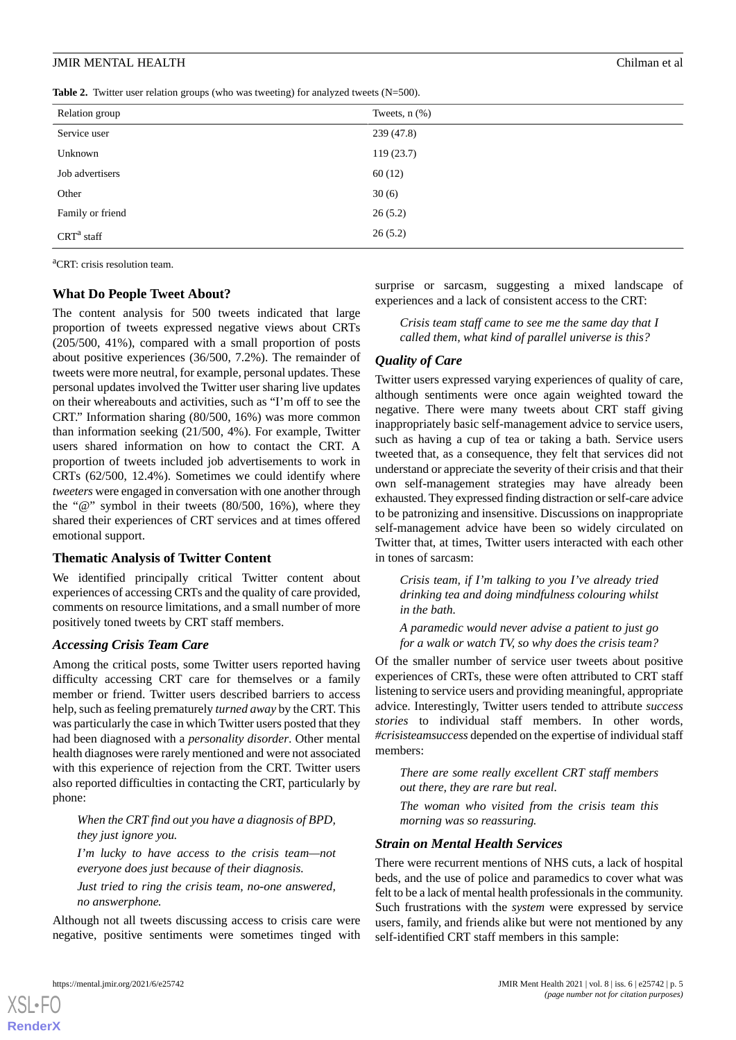<span id="page-4-0"></span>

|  |  | <b>Table 2.</b> Twitter user relation groups (who was tweeting) for analyzed tweets $(N=500)$ . |  |  |  |  |  |
|--|--|-------------------------------------------------------------------------------------------------|--|--|--|--|--|
|--|--|-------------------------------------------------------------------------------------------------|--|--|--|--|--|

| Relation group   | Tweets, $n$ $(\%)$ |
|------------------|--------------------|
| Service user     | 239 (47.8)         |
| Unknown          | 119(23.7)          |
| Job advertisers  | 60(12)             |
| Other            | 30(6)              |
| Family or friend | 26(5.2)            |
| $CRTa$ staff     | 26(5.2)            |

<sup>a</sup>CRT: crisis resolution team.

#### **What Do People Tweet About?**

The content analysis for 500 tweets indicated that large proportion of tweets expressed negative views about CRTs (205/500, 41%), compared with a small proportion of posts about positive experiences (36/500, 7.2%). The remainder of tweets were more neutral, for example, personal updates. These personal updates involved the Twitter user sharing live updates on their whereabouts and activities, such as "I'm off to see the CRT." Information sharing (80/500, 16%) was more common than information seeking (21/500, 4%). For example, Twitter users shared information on how to contact the CRT. A proportion of tweets included job advertisements to work in CRTs (62/500, 12.4%). Sometimes we could identify where *tweeters* were engaged in conversation with one another through the "@" symbol in their tweets (80/500, 16%), where they shared their experiences of CRT services and at times offered emotional support.

# **Thematic Analysis of Twitter Content**

We identified principally critical Twitter content about experiences of accessing CRTs and the quality of care provided, comments on resource limitations, and a small number of more positively toned tweets by CRT staff members.

#### *Accessing Crisis Team Care*

Among the critical posts, some Twitter users reported having difficulty accessing CRT care for themselves or a family member or friend. Twitter users described barriers to access help, such as feeling prematurely *turned away* by the CRT. This was particularly the case in which Twitter users posted that they had been diagnosed with a *personality disorder*. Other mental health diagnoses were rarely mentioned and were not associated with this experience of rejection from the CRT. Twitter users also reported difficulties in contacting the CRT, particularly by phone:

*When the CRT find out you have a diagnosis of BPD, they just ignore you.*

*I'm lucky to have access to the crisis team—not everyone does just because of their diagnosis.*

*Just tried to ring the crisis team, no-one answered, no answerphone.*

Although not all tweets discussing access to crisis care were negative, positive sentiments were sometimes tinged with

surprise or sarcasm, suggesting a mixed landscape of experiences and a lack of consistent access to the CRT:

*Crisis team staff came to see me the same day that I called them, what kind of parallel universe is this?*

# *Quality of Care*

Twitter users expressed varying experiences of quality of care, although sentiments were once again weighted toward the negative. There were many tweets about CRT staff giving inappropriately basic self-management advice to service users, such as having a cup of tea or taking a bath. Service users tweeted that, as a consequence, they felt that services did not understand or appreciate the severity of their crisis and that their own self-management strategies may have already been exhausted. They expressed finding distraction or self-care advice to be patronizing and insensitive. Discussions on inappropriate self-management advice have been so widely circulated on Twitter that, at times, Twitter users interacted with each other in tones of sarcasm:

*Crisis team, if I'm talking to you I've already tried drinking tea and doing mindfulness colouring whilst in the bath.*

*A paramedic would never advise a patient to just go for a walk or watch TV, so why does the crisis team?*

Of the smaller number of service user tweets about positive experiences of CRTs, these were often attributed to CRT staff listening to service users and providing meaningful, appropriate advice. Interestingly, Twitter users tended to attribute *success stories* to individual staff members. In other words, *#crisisteamsuccess* depended on the expertise of individual staff members:

*There are some really excellent CRT staff members out there, they are rare but real.*

*The woman who visited from the crisis team this morning was so reassuring.*

#### *Strain on Mental Health Services*

There were recurrent mentions of NHS cuts, a lack of hospital beds, and the use of police and paramedics to cover what was felt to be a lack of mental health professionals in the community. Such frustrations with the *system* were expressed by service users, family, and friends alike but were not mentioned by any self-identified CRT staff members in this sample:

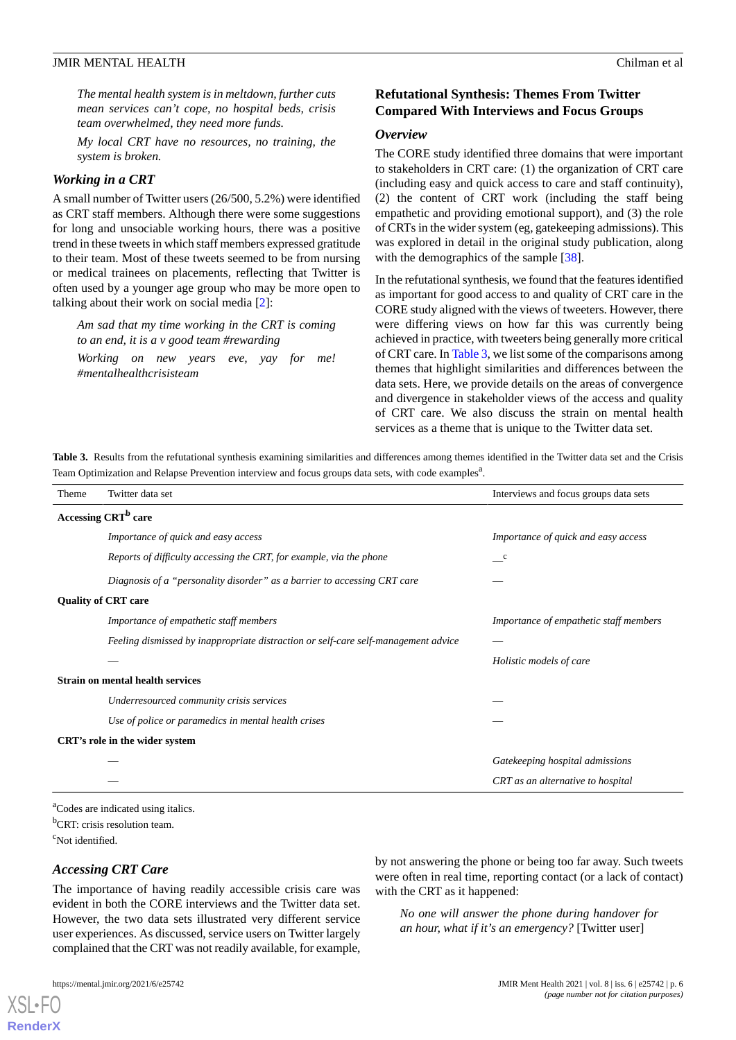*The mental health system is in meltdown, further cuts mean services can't cope, no hospital beds, crisis team overwhelmed, they need more funds.*

*My local CRT have no resources, no training, the system is broken.*

#### *Working in a CRT*

A small number of Twitter users (26/500, 5.2%) were identified as CRT staff members. Although there were some suggestions for long and unsociable working hours, there was a positive trend in these tweets in which staff members expressed gratitude to their team. Most of these tweets seemed to be from nursing or medical trainees on placements, reflecting that Twitter is often used by a younger age group who may be more open to talking about their work on social media [[2\]](#page-8-1):

*Am sad that my time working in the CRT is coming to an end, it is a v good team #rewarding*

*Working on new years eve, yay for me! #mentalhealthcrisisteam*

# **Refutational Synthesis: Themes From Twitter Compared With Interviews and Focus Groups**

#### *Overview*

The CORE study identified three domains that were important to stakeholders in CRT care: (1) the organization of CRT care (including easy and quick access to care and staff continuity), (2) the content of CRT work (including the staff being empathetic and providing emotional support), and (3) the role of CRTs in the wider system (eg, gatekeeping admissions). This was explored in detail in the original study publication, along with the demographics of the sample [[38\]](#page-10-11).

In the refutational synthesis, we found that the features identified as important for good access to and quality of CRT care in the CORE study aligned with the views of tweeters. However, there were differing views on how far this was currently being achieved in practice, with tweeters being generally more critical of CRT care. In [Table 3](#page-5-0), we list some of the comparisons among themes that highlight similarities and differences between the data sets. Here, we provide details on the areas of convergence and divergence in stakeholder views of the access and quality of CRT care. We also discuss the strain on mental health services as a theme that is unique to the Twitter data set.

<span id="page-5-0"></span>**Table 3.** Results from the refutational synthesis examining similarities and differences among themes identified in the Twitter data set and the Crisis Team Optimization and Relapse Prevention interview and focus groups data sets, with code examples<sup>a</sup>.

| Theme                      | Twitter data set                                                                   | Interviews and focus groups data sets  |  |  |  |
|----------------------------|------------------------------------------------------------------------------------|----------------------------------------|--|--|--|
|                            | Accessing CRT <sup>b</sup> care                                                    |                                        |  |  |  |
|                            | Importance of quick and easy access                                                | Importance of quick and easy access    |  |  |  |
|                            | Reports of difficulty accessing the CRT, for example, via the phone                | $\mathbf c$                            |  |  |  |
|                            | Diagnosis of a "personality disorder" as a barrier to accessing CRT care           |                                        |  |  |  |
| <b>Quality of CRT care</b> |                                                                                    |                                        |  |  |  |
|                            | Importance of empathetic staff members                                             | Importance of empathetic staff members |  |  |  |
|                            | Feeling dismissed by inappropriate distraction or self-care self-management advice |                                        |  |  |  |
|                            |                                                                                    | Holistic models of care                |  |  |  |
|                            | <b>Strain on mental health services</b>                                            |                                        |  |  |  |
|                            | Underresourced community crisis services                                           |                                        |  |  |  |
|                            | Use of police or paramedics in mental health crises                                |                                        |  |  |  |
|                            | CRT's role in the wider system                                                     |                                        |  |  |  |
|                            |                                                                                    | Gatekeeping hospital admissions        |  |  |  |
|                            |                                                                                    | CRT as an alternative to hospital      |  |  |  |

<sup>a</sup>Codes are indicated using italics. <sup>b</sup>CRT: crisis resolution team. <sup>c</sup>Not identified.

#### *Accessing CRT Care*

The importance of having readily accessible crisis care was evident in both the CORE interviews and the Twitter data set. However, the two data sets illustrated very different service user experiences. As discussed, service users on Twitter largely complained that the CRT was not readily available, for example,

by not answering the phone or being too far away. Such tweets were often in real time, reporting contact (or a lack of contact) with the CRT as it happened:

*No one will answer the phone during handover for an hour, what if it's an emergency?* [Twitter user]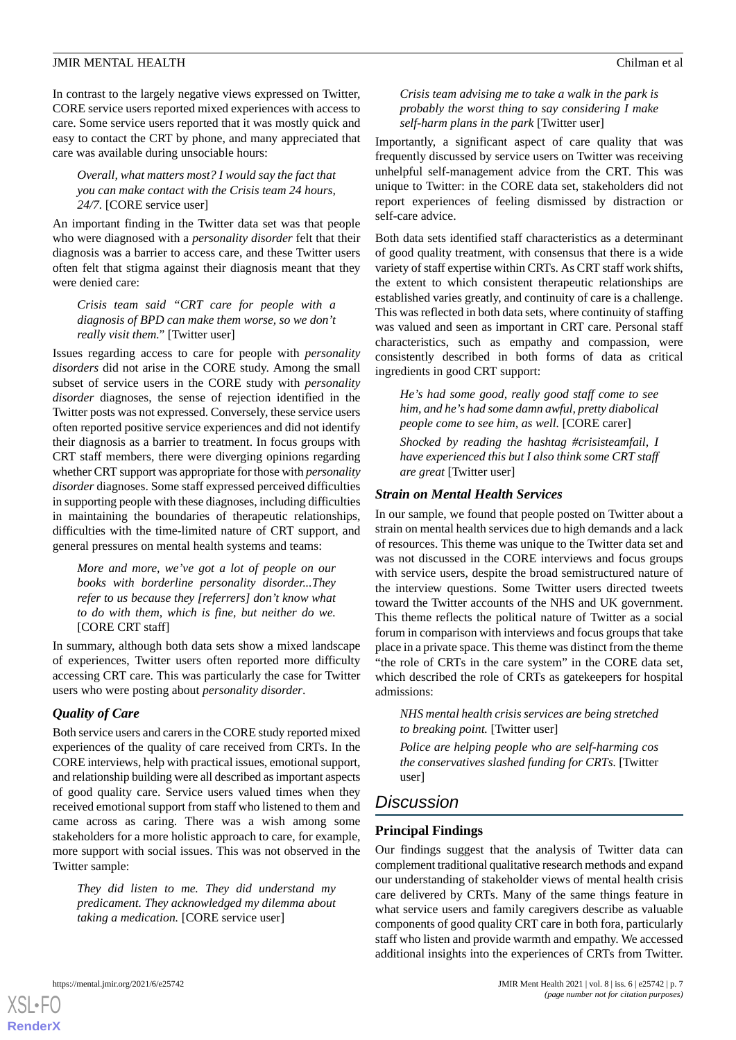In contrast to the largely negative views expressed on Twitter, CORE service users reported mixed experiences with access to care. Some service users reported that it was mostly quick and easy to contact the CRT by phone, and many appreciated that care was available during unsociable hours:

*Overall, what matters most? I would say the fact that you can make contact with the Crisis team 24 hours, 24/7.* [CORE service user]

An important finding in the Twitter data set was that people who were diagnosed with a *personality disorder* felt that their diagnosis was a barrier to access care, and these Twitter users often felt that stigma against their diagnosis meant that they were denied care:

*Crisis team said "CRT care for people with a diagnosis of BPD can make them worse, so we don't really visit them."* [Twitter user]

Issues regarding access to care for people with *personality disorders* did not arise in the CORE study. Among the small subset of service users in the CORE study with *personality disorder* diagnoses, the sense of rejection identified in the Twitter posts was not expressed. Conversely, these service users often reported positive service experiences and did not identify their diagnosis as a barrier to treatment. In focus groups with CRT staff members, there were diverging opinions regarding whether CRT support was appropriate for those with *personality disorder* diagnoses. Some staff expressed perceived difficulties in supporting people with these diagnoses, including difficulties in maintaining the boundaries of therapeutic relationships, difficulties with the time-limited nature of CRT support, and general pressures on mental health systems and teams:

*More and more, we've got a lot of people on our books with borderline personality disorder...They refer to us because they [referrers] don't know what to do with them, which is fine, but neither do we.* [CORE CRT staff]

In summary, although both data sets show a mixed landscape of experiences, Twitter users often reported more difficulty accessing CRT care. This was particularly the case for Twitter users who were posting about *personality disorder*.

# *Quality of Care*

Both service users and carers in the CORE study reported mixed experiences of the quality of care received from CRTs. In the CORE interviews, help with practical issues, emotional support, and relationship building were all described as important aspects of good quality care. Service users valued times when they received emotional support from staff who listened to them and came across as caring. There was a wish among some stakeholders for a more holistic approach to care, for example, more support with social issues. This was not observed in the Twitter sample:

*They did listen to me. They did understand my predicament. They acknowledged my dilemma about taking a medication.* [CORE service user]

*Crisis team advising me to take a walk in the park is probably the worst thing to say considering I make self-harm plans in the park* [Twitter user]

Importantly, a significant aspect of care quality that was frequently discussed by service users on Twitter was receiving unhelpful self-management advice from the CRT. This was unique to Twitter: in the CORE data set, stakeholders did not report experiences of feeling dismissed by distraction or self-care advice.

Both data sets identified staff characteristics as a determinant of good quality treatment, with consensus that there is a wide variety of staff expertise within CRTs. As CRT staff work shifts, the extent to which consistent therapeutic relationships are established varies greatly, and continuity of care is a challenge. This was reflected in both data sets, where continuity of staffing was valued and seen as important in CRT care. Personal staff characteristics, such as empathy and compassion, were consistently described in both forms of data as critical ingredients in good CRT support:

*He's had some good, really good staff come to see him, and he's had some damn awful, pretty diabolical people come to see him, as well.* [CORE carer] *Shocked by reading the hashtag #crisisteamfail, I have experienced this but I also think some CRT staff are great* [Twitter user]

# *Strain on Mental Health Services*

In our sample, we found that people posted on Twitter about a strain on mental health services due to high demands and a lack of resources. This theme was unique to the Twitter data set and was not discussed in the CORE interviews and focus groups with service users, despite the broad semistructured nature of the interview questions. Some Twitter users directed tweets toward the Twitter accounts of the NHS and UK government. This theme reflects the political nature of Twitter as a social forum in comparison with interviews and focus groups that take place in a private space. This theme was distinct from the theme "the role of CRTs in the care system" in the CORE data set, which described the role of CRTs as gatekeepers for hospital admissions:

*NHS mental health crisis services are being stretched to breaking point.* [Twitter user]

*Police are helping people who are self-harming cos the conservatives slashed funding for CRTs.* [Twitter user]

# *Discussion*

# **Principal Findings**

Our findings suggest that the analysis of Twitter data can complement traditional qualitative research methods and expand our understanding of stakeholder views of mental health crisis care delivered by CRTs. Many of the same things feature in what service users and family caregivers describe as valuable components of good quality CRT care in both fora, particularly staff who listen and provide warmth and empathy. We accessed additional insights into the experiences of CRTs from Twitter.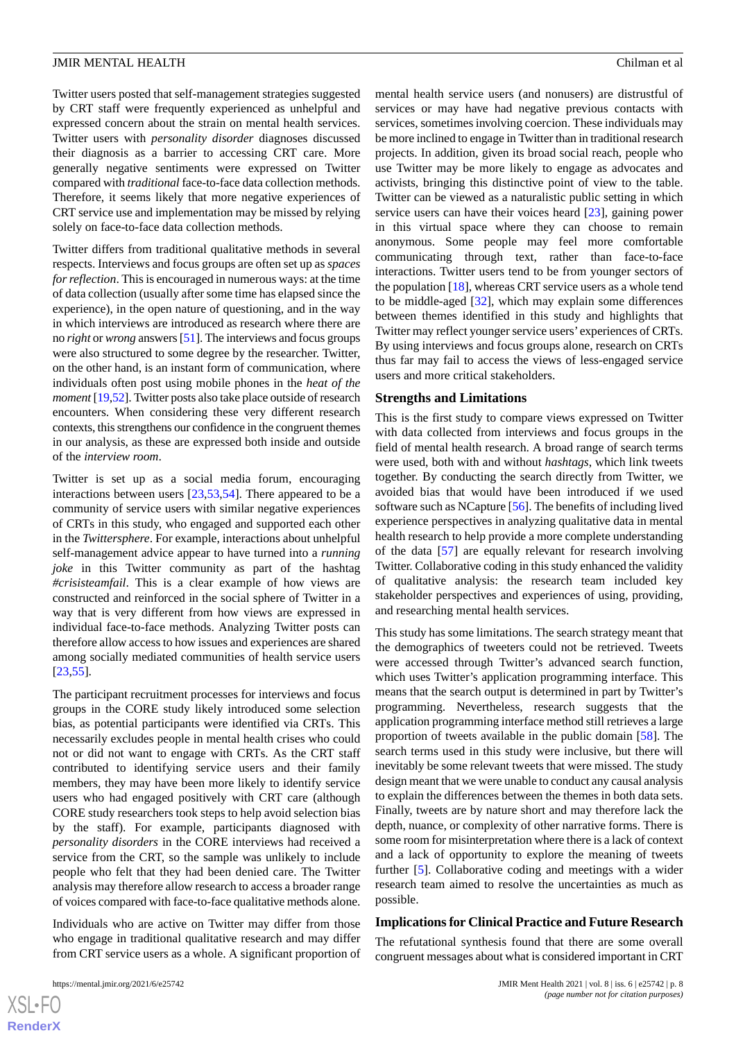Twitter users posted that self-management strategies suggested by CRT staff were frequently experienced as unhelpful and expressed concern about the strain on mental health services. Twitter users with *personality disorder* diagnoses discussed their diagnosis as a barrier to accessing CRT care. More generally negative sentiments were expressed on Twitter compared with *traditional* face-to-face data collection methods. Therefore, it seems likely that more negative experiences of CRT service use and implementation may be missed by relying solely on face-to-face data collection methods.

Twitter differs from traditional qualitative methods in several respects. Interviews and focus groups are often set up as *spaces for reflection*. This is encouraged in numerous ways: at the time of data collection (usually after some time has elapsed since the experience), in the open nature of questioning, and in the way in which interviews are introduced as research where there are no *right* or *wrong* answers [[51](#page-11-1)]. The interviews and focus groups were also structured to some degree by the researcher. Twitter, on the other hand, is an instant form of communication, where individuals often post using mobile phones in the *heat of the moment* [[19,](#page-9-14)[52\]](#page-11-2). Twitter posts also take place outside of research encounters. When considering these very different research contexts, this strengthens our confidence in the congruent themes in our analysis, as these are expressed both inside and outside of the *interview room*.

Twitter is set up as a social media forum, encouraging interactions between users [\[23](#page-9-17),[53,](#page-11-3)[54](#page-11-4)]. There appeared to be a community of service users with similar negative experiences of CRTs in this study, who engaged and supported each other in the *Twittersphere*. For example, interactions about unhelpful self-management advice appear to have turned into a *running joke* in this Twitter community as part of the hashtag *#crisisteamfail*. This is a clear example of how views are constructed and reinforced in the social sphere of Twitter in a way that is very different from how views are expressed in individual face-to-face methods. Analyzing Twitter posts can therefore allow access to how issues and experiences are shared among socially mediated communities of health service users [[23](#page-9-17)[,55](#page-11-5)].

The participant recruitment processes for interviews and focus groups in the CORE study likely introduced some selection bias, as potential participants were identified via CRTs. This necessarily excludes people in mental health crises who could not or did not want to engage with CRTs. As the CRT staff contributed to identifying service users and their family members, they may have been more likely to identify service users who had engaged positively with CRT care (although CORE study researchers took steps to help avoid selection bias by the staff). For example, participants diagnosed with *personality disorders* in the CORE interviews had received a service from the CRT, so the sample was unlikely to include people who felt that they had been denied care. The Twitter analysis may therefore allow research to access a broader range of voices compared with face-to-face qualitative methods alone.

Individuals who are active on Twitter may differ from those who engage in traditional qualitative research and may differ from CRT service users as a whole. A significant proportion of

mental health service users (and nonusers) are distrustful of services or may have had negative previous contacts with services, sometimes involving coercion. These individuals may be more inclined to engage in Twitter than in traditional research projects. In addition, given its broad social reach, people who use Twitter may be more likely to engage as advocates and activists, bringing this distinctive point of view to the table. Twitter can be viewed as a naturalistic public setting in which service users can have their voices heard [[23\]](#page-9-17), gaining power in this virtual space where they can choose to remain anonymous. Some people may feel more comfortable communicating through text, rather than face-to-face interactions. Twitter users tend to be from younger sectors of the population [[18\]](#page-9-13), whereas CRT service users as a whole tend to be middle-aged [\[32](#page-10-5)], which may explain some differences between themes identified in this study and highlights that Twitter may reflect younger service users' experiences of CRTs. By using interviews and focus groups alone, research on CRTs thus far may fail to access the views of less-engaged service users and more critical stakeholders.

#### **Strengths and Limitations**

This is the first study to compare views expressed on Twitter with data collected from interviews and focus groups in the field of mental health research. A broad range of search terms were used, both with and without *hashtags*, which link tweets together. By conducting the search directly from Twitter, we avoided bias that would have been introduced if we used software such as NCapture [[56\]](#page-11-6). The benefits of including lived experience perspectives in analyzing qualitative data in mental health research to help provide a more complete understanding of the data [\[57](#page-11-7)] are equally relevant for research involving Twitter. Collaborative coding in this study enhanced the validity of qualitative analysis: the research team included key stakeholder perspectives and experiences of using, providing, and researching mental health services.

This study has some limitations. The search strategy meant that the demographics of tweeters could not be retrieved. Tweets were accessed through Twitter's advanced search function, which uses Twitter's application programming interface. This means that the search output is determined in part by Twitter's programming. Nevertheless, research suggests that the application programming interface method still retrieves a large proportion of tweets available in the public domain [\[58](#page-11-8)]. The search terms used in this study were inclusive, but there will inevitably be some relevant tweets that were missed. The study design meant that we were unable to conduct any causal analysis to explain the differences between the themes in both data sets. Finally, tweets are by nature short and may therefore lack the depth, nuance, or complexity of other narrative forms. There is some room for misinterpretation where there is a lack of context and a lack of opportunity to explore the meaning of tweets further [\[5](#page-9-6)]. Collaborative coding and meetings with a wider research team aimed to resolve the uncertainties as much as possible.

#### **Implications for Clinical Practice and Future Research**

The refutational synthesis found that there are some overall congruent messages about what is considered important in CRT

```
XS-FO
RenderX
```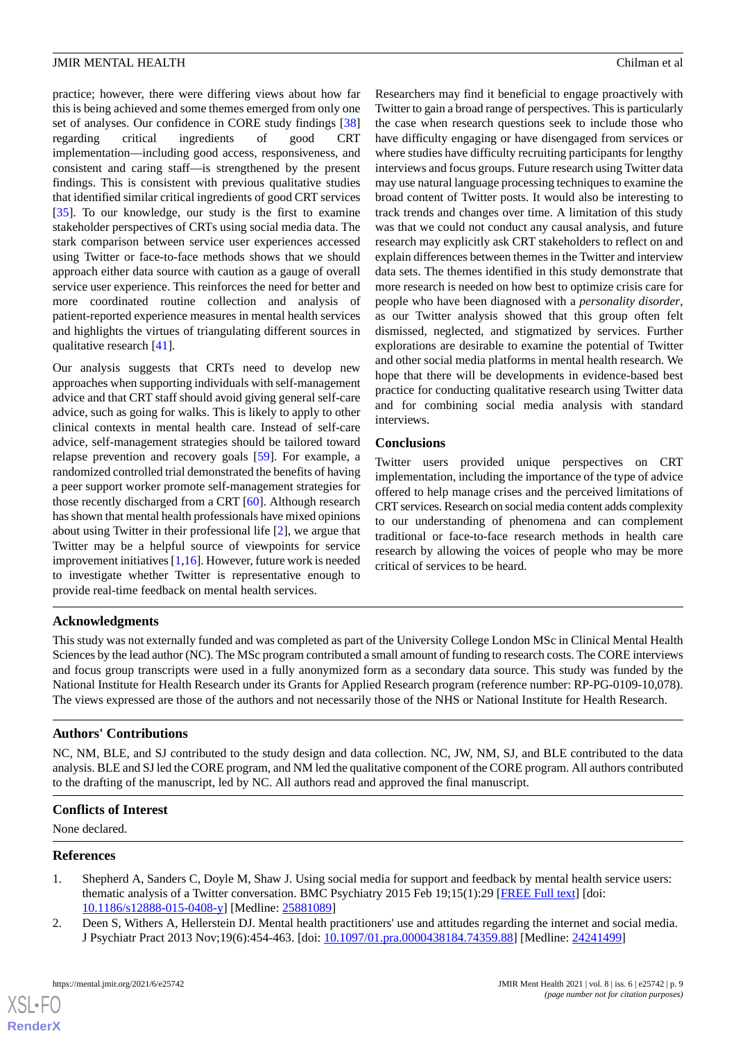practice; however, there were differing views about how far this is being achieved and some themes emerged from only one set of analyses. Our confidence in CORE study findings [\[38](#page-10-11)] regarding critical ingredients of good CRT implementation—including good access, responsiveness, and consistent and caring staff—is strengthened by the present findings. This is consistent with previous qualitative studies that identified similar critical ingredients of good CRT services [[35\]](#page-10-8). To our knowledge, our study is the first to examine stakeholder perspectives of CRTs using social media data. The stark comparison between service user experiences accessed using Twitter or face-to-face methods shows that we should approach either data source with caution as a gauge of overall service user experience. This reinforces the need for better and more coordinated routine collection and analysis of patient-reported experience measures in mental health services and highlights the virtues of triangulating different sources in qualitative research [[41\]](#page-10-14).

Our analysis suggests that CRTs need to develop new approaches when supporting individuals with self-management advice and that CRT staff should avoid giving general self-care advice, such as going for walks. This is likely to apply to other clinical contexts in mental health care. Instead of self-care advice, self-management strategies should be tailored toward relapse prevention and recovery goals [\[59](#page-11-9)]. For example, a randomized controlled trial demonstrated the benefits of having a peer support worker promote self-management strategies for those recently discharged from a CRT [[60\]](#page-11-10). Although research has shown that mental health professionals have mixed opinions about using Twitter in their professional life [\[2\]](#page-8-1), we argue that Twitter may be a helpful source of viewpoints for service improvement initiatives  $[1,16]$  $[1,16]$  $[1,16]$  $[1,16]$ . However, future work is needed to investigate whether Twitter is representative enough to provide real-time feedback on mental health services.

Researchers may find it beneficial to engage proactively with Twitter to gain a broad range of perspectives. This is particularly the case when research questions seek to include those who have difficulty engaging or have disengaged from services or where studies have difficulty recruiting participants for lengthy interviews and focus groups. Future research using Twitter data may use natural language processing techniques to examine the broad content of Twitter posts. It would also be interesting to track trends and changes over time. A limitation of this study was that we could not conduct any causal analysis, and future research may explicitly ask CRT stakeholders to reflect on and explain differences between themes in the Twitter and interview data sets. The themes identified in this study demonstrate that more research is needed on how best to optimize crisis care for people who have been diagnosed with a *personality disorder*, as our Twitter analysis showed that this group often felt dismissed, neglected, and stigmatized by services. Further explorations are desirable to examine the potential of Twitter and other social media platforms in mental health research. We hope that there will be developments in evidence-based best practice for conducting qualitative research using Twitter data and for combining social media analysis with standard interviews.

# **Conclusions**

Twitter users provided unique perspectives on CRT implementation, including the importance of the type of advice offered to help manage crises and the perceived limitations of CRT services. Research on social media content adds complexity to our understanding of phenomena and can complement traditional or face-to-face research methods in health care research by allowing the voices of people who may be more critical of services to be heard.

# **Acknowledgments**

This study was not externally funded and was completed as part of the University College London MSc in Clinical Mental Health Sciences by the lead author (NC). The MSc program contributed a small amount of funding to research costs. The CORE interviews and focus group transcripts were used in a fully anonymized form as a secondary data source. This study was funded by the National Institute for Health Research under its Grants for Applied Research program (reference number: RP-PG-0109-10,078). The views expressed are those of the authors and not necessarily those of the NHS or National Institute for Health Research.

# **Authors' Contributions**

NC, NM, BLE, and SJ contributed to the study design and data collection. NC, JW, NM, SJ, and BLE contributed to the data analysis. BLE and SJ led the CORE program, and NM led the qualitative component of the CORE program. All authors contributed to the drafting of the manuscript, led by NC. All authors read and approved the final manuscript.

# <span id="page-8-0"></span>**Conflicts of Interest**

<span id="page-8-1"></span>None declared.

# **References**

 $XSI - F($ **[RenderX](http://www.renderx.com/)**

- 1. Shepherd A, Sanders C, Doyle M, Shaw J. Using social media for support and feedback by mental health service users: thematic analysis of a Twitter conversation. BMC Psychiatry 2015 Feb 19;15(1):29 [\[FREE Full text\]](https://bmcpsychiatry.biomedcentral.com/articles/10.1186/s12888-015-0408-y) [doi: [10.1186/s12888-015-0408-y\]](http://dx.doi.org/10.1186/s12888-015-0408-y) [Medline: [25881089](http://www.ncbi.nlm.nih.gov/entrez/query.fcgi?cmd=Retrieve&db=PubMed&list_uids=25881089&dopt=Abstract)]
- 2. Deen S, Withers A, Hellerstein DJ. Mental health practitioners' use and attitudes regarding the internet and social media. J Psychiatr Pract 2013 Nov;19(6):454-463. [doi: [10.1097/01.pra.0000438184.74359.88](http://dx.doi.org/10.1097/01.pra.0000438184.74359.88)] [Medline: [24241499](http://www.ncbi.nlm.nih.gov/entrez/query.fcgi?cmd=Retrieve&db=PubMed&list_uids=24241499&dopt=Abstract)]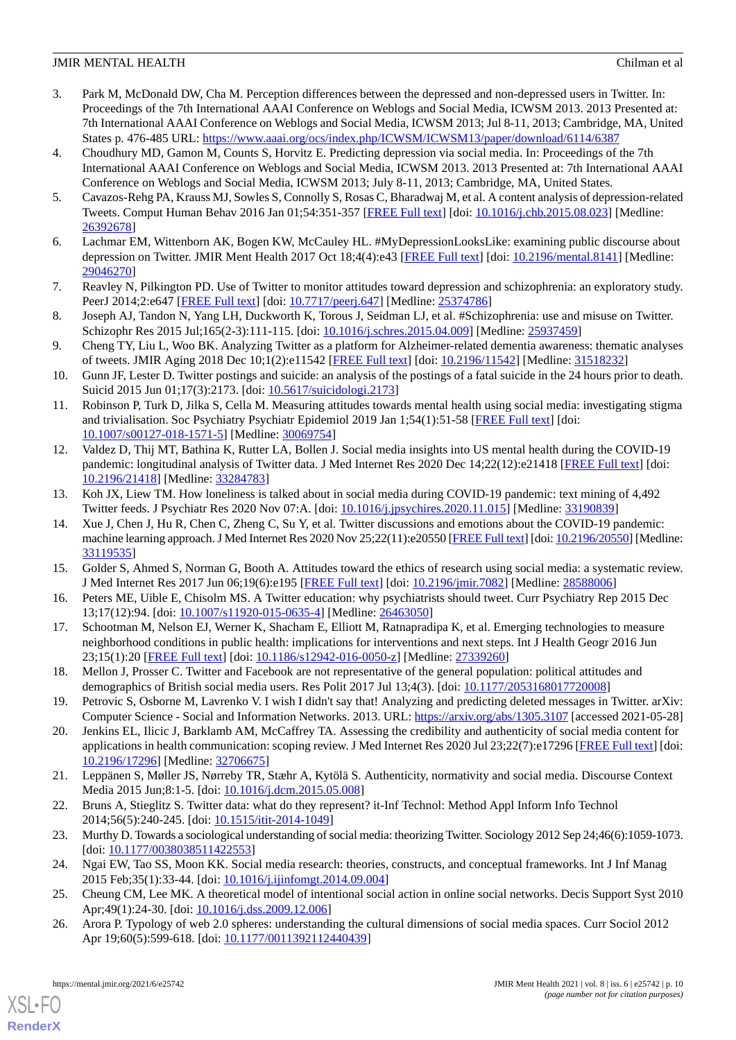- <span id="page-9-0"></span>3. Park M, McDonald DW, Cha M. Perception differences between the depressed and non-depressed users in Twitter. In: Proceedings of the 7th International AAAI Conference on Weblogs and Social Media, ICWSM 2013. 2013 Presented at: 7th International AAAI Conference on Weblogs and Social Media, ICWSM 2013; Jul 8-11, 2013; Cambridge, MA, United States p. 476-485 URL:<https://www.aaai.org/ocs/index.php/ICWSM/ICWSM13/paper/download/6114/6387>
- <span id="page-9-9"></span>4. Choudhury MD, Gamon M, Counts S, Horvitz E. Predicting depression via social media. In: Proceedings of the 7th International AAAI Conference on Weblogs and Social Media, ICWSM 2013. 2013 Presented at: 7th International AAAI Conference on Weblogs and Social Media, ICWSM 2013; July 8-11, 2013; Cambridge, MA, United States.
- <span id="page-9-6"></span>5. Cavazos-Rehg PA, Krauss MJ, Sowles S, Connolly S, Rosas C, Bharadwaj M, et al. A content analysis of depression-related Tweets. Comput Human Behav 2016 Jan 01;54:351-357 [\[FREE Full text\]](http://europepmc.org/abstract/MED/26392678) [doi: [10.1016/j.chb.2015.08.023\]](http://dx.doi.org/10.1016/j.chb.2015.08.023) [Medline: [26392678](http://www.ncbi.nlm.nih.gov/entrez/query.fcgi?cmd=Retrieve&db=PubMed&list_uids=26392678&dopt=Abstract)]
- <span id="page-9-1"></span>6. Lachmar EM, Wittenborn AK, Bogen KW, McCauley HL. #MyDepressionLooksLike: examining public discourse about depression on Twitter. JMIR Ment Health 2017 Oct 18;4(4):e43 [\[FREE Full text\]](https://mental.jmir.org/2017/4/e43/) [doi: [10.2196/mental.8141](http://dx.doi.org/10.2196/mental.8141)] [Medline: [29046270](http://www.ncbi.nlm.nih.gov/entrez/query.fcgi?cmd=Retrieve&db=PubMed&list_uids=29046270&dopt=Abstract)]
- <span id="page-9-2"></span>7. Reavley N, Pilkington PD. Use of Twitter to monitor attitudes toward depression and schizophrenia: an exploratory study. PeerJ 2014;2:e647 [\[FREE Full text\]](https://doi.org/10.7717/peerj.647) [doi: [10.7717/peerj.647\]](http://dx.doi.org/10.7717/peerj.647) [Medline: [25374786\]](http://www.ncbi.nlm.nih.gov/entrez/query.fcgi?cmd=Retrieve&db=PubMed&list_uids=25374786&dopt=Abstract)
- <span id="page-9-3"></span>8. Joseph AJ, Tandon N, Yang LH, Duckworth K, Torous J, Seidman LJ, et al. #Schizophrenia: use and misuse on Twitter. Schizophr Res 2015 Jul;165(2-3):111-115. [doi: [10.1016/j.schres.2015.04.009\]](http://dx.doi.org/10.1016/j.schres.2015.04.009) [Medline: [25937459](http://www.ncbi.nlm.nih.gov/entrez/query.fcgi?cmd=Retrieve&db=PubMed&list_uids=25937459&dopt=Abstract)]
- <span id="page-9-4"></span>9. Cheng TY, Liu L, Woo BK. Analyzing Twitter as a platform for Alzheimer-related dementia awareness: thematic analyses of tweets. JMIR Aging 2018 Dec 10;1(2):e11542 [\[FREE Full text\]](https://aging.jmir.org/2018/2/e11542/) [doi: [10.2196/11542](http://dx.doi.org/10.2196/11542)] [Medline: [31518232\]](http://www.ncbi.nlm.nih.gov/entrez/query.fcgi?cmd=Retrieve&db=PubMed&list_uids=31518232&dopt=Abstract)
- <span id="page-9-5"></span>10. Gunn JF, Lester D. Twitter postings and suicide: an analysis of the postings of a fatal suicide in the 24 hours prior to death. Suicid 2015 Jun 01;17(3):2173. [doi: [10.5617/suicidologi.2173](http://dx.doi.org/10.5617/suicidologi.2173)]
- <span id="page-9-7"></span>11. Robinson P, Turk D, Jilka S, Cella M. Measuring attitudes towards mental health using social media: investigating stigma and trivialisation. Soc Psychiatry Psychiatr Epidemiol 2019 Jan 1;54(1):51-58 [[FREE Full text](http://europepmc.org/abstract/MED/30069754)] [doi: [10.1007/s00127-018-1571-5\]](http://dx.doi.org/10.1007/s00127-018-1571-5) [Medline: [30069754](http://www.ncbi.nlm.nih.gov/entrez/query.fcgi?cmd=Retrieve&db=PubMed&list_uids=30069754&dopt=Abstract)]
- <span id="page-9-8"></span>12. Valdez D, Thij MT, Bathina K, Rutter LA, Bollen J. Social media insights into US mental health during the COVID-19 pandemic: longitudinal analysis of Twitter data. J Med Internet Res 2020 Dec 14;22(12):e21418 [[FREE Full text](https://www.jmir.org/2020/12/e21418/)] [doi: [10.2196/21418\]](http://dx.doi.org/10.2196/21418) [Medline: [33284783\]](http://www.ncbi.nlm.nih.gov/entrez/query.fcgi?cmd=Retrieve&db=PubMed&list_uids=33284783&dopt=Abstract)
- 13. Koh JX, Liew TM. How loneliness is talked about in social media during COVID-19 pandemic: text mining of 4,492 Twitter feeds. J Psychiatr Res 2020 Nov 07:A. [doi: [10.1016/j.jpsychires.2020.11.015](http://dx.doi.org/10.1016/j.jpsychires.2020.11.015)] [Medline: [33190839](http://www.ncbi.nlm.nih.gov/entrez/query.fcgi?cmd=Retrieve&db=PubMed&list_uids=33190839&dopt=Abstract)]
- <span id="page-9-11"></span><span id="page-9-10"></span>14. Xue J, Chen J, Hu R, Chen C, Zheng C, Su Y, et al. Twitter discussions and emotions about the COVID-19 pandemic: machine learning approach. J Med Internet Res 2020 Nov 25;22(11):e20550 [\[FREE Full text](https://www.jmir.org/2020/11/e20550/)] [doi: [10.2196/20550\]](http://dx.doi.org/10.2196/20550) [Medline: [33119535](http://www.ncbi.nlm.nih.gov/entrez/query.fcgi?cmd=Retrieve&db=PubMed&list_uids=33119535&dopt=Abstract)]
- <span id="page-9-12"></span>15. Golder S, Ahmed S, Norman G, Booth A. Attitudes toward the ethics of research using social media: a systematic review. J Med Internet Res 2017 Jun 06;19(6):e195 [\[FREE Full text\]](https://www.jmir.org/2017/6/e195/) [doi: [10.2196/jmir.7082\]](http://dx.doi.org/10.2196/jmir.7082) [Medline: [28588006\]](http://www.ncbi.nlm.nih.gov/entrez/query.fcgi?cmd=Retrieve&db=PubMed&list_uids=28588006&dopt=Abstract)
- <span id="page-9-13"></span>16. Peters ME, Uible E, Chisolm MS. A Twitter education: why psychiatrists should tweet. Curr Psychiatry Rep 2015 Dec 13;17(12):94. [doi: [10.1007/s11920-015-0635-4](http://dx.doi.org/10.1007/s11920-015-0635-4)] [Medline: [26463050](http://www.ncbi.nlm.nih.gov/entrez/query.fcgi?cmd=Retrieve&db=PubMed&list_uids=26463050&dopt=Abstract)]
- <span id="page-9-14"></span>17. Schootman M, Nelson EJ, Werner K, Shacham E, Elliott M, Ratnapradipa K, et al. Emerging technologies to measure neighborhood conditions in public health: implications for interventions and next steps. Int J Health Geogr 2016 Jun 23;15(1):20 [[FREE Full text\]](https://ij-healthgeographics.biomedcentral.com/articles/10.1186/s12942-016-0050-z) [doi: [10.1186/s12942-016-0050-z\]](http://dx.doi.org/10.1186/s12942-016-0050-z) [Medline: [27339260\]](http://www.ncbi.nlm.nih.gov/entrez/query.fcgi?cmd=Retrieve&db=PubMed&list_uids=27339260&dopt=Abstract)
- <span id="page-9-15"></span>18. Mellon J, Prosser C. Twitter and Facebook are not representative of the general population: political attitudes and demographics of British social media users. Res Polit 2017 Jul 13;4(3). [doi: [10.1177/2053168017720008\]](http://dx.doi.org/10.1177/2053168017720008)
- 19. Petrovic S, Osborne M, Lavrenko V. I wish I didn't say that! Analyzing and predicting deleted messages in Twitter. arXiv: Computer Science - Social and Information Networks. 2013. URL:<https://arxiv.org/abs/1305.3107> [accessed 2021-05-28]
- <span id="page-9-17"></span><span id="page-9-16"></span>20. Jenkins EL, Ilicic J, Barklamb AM, McCaffrey TA. Assessing the credibility and authenticity of social media content for applications in health communication: scoping review. J Med Internet Res 2020 Jul 23;22(7):e17296 [[FREE Full text](https://www.jmir.org/2020/7/e17296/)] [doi: [10.2196/17296\]](http://dx.doi.org/10.2196/17296) [Medline: [32706675\]](http://www.ncbi.nlm.nih.gov/entrez/query.fcgi?cmd=Retrieve&db=PubMed&list_uids=32706675&dopt=Abstract)
- <span id="page-9-18"></span>21. Leppänen S, Møller JS, Nørreby TR, Stæhr A, Kytölä S. Authenticity, normativity and social media. Discourse Context Media 2015 Jun;8:1-5. [doi: [10.1016/j.dcm.2015.05.008\]](http://dx.doi.org/10.1016/j.dcm.2015.05.008)
- <span id="page-9-19"></span>22. Bruns A, Stieglitz S. Twitter data: what do they represent? it-Inf Technol: Method Appl Inform Info Technol 2014;56(5):240-245. [doi: [10.1515/itit-2014-1049](http://dx.doi.org/10.1515/itit-2014-1049)]
- <span id="page-9-20"></span>23. Murthy D. Towards a sociological understanding of social media: theorizing Twitter. Sociology 2012 Sep 24;46(6):1059-1073. [doi: [10.1177/0038038511422553](http://dx.doi.org/10.1177/0038038511422553)]
- 24. Ngai EW, Tao SS, Moon KK. Social media research: theories, constructs, and conceptual frameworks. Int J Inf Manag 2015 Feb;35(1):33-44. [doi: [10.1016/j.ijinfomgt.2014.09.004](http://dx.doi.org/10.1016/j.ijinfomgt.2014.09.004)]
- 25. Cheung CM, Lee MK. A theoretical model of intentional social action in online social networks. Decis Support Syst 2010 Apr;49(1):24-30. [doi: [10.1016/j.dss.2009.12.006\]](http://dx.doi.org/10.1016/j.dss.2009.12.006)
- 26. Arora P. Typology of web 2.0 spheres: understanding the cultural dimensions of social media spaces. Curr Sociol 2012 Apr 19;60(5):599-618. [doi: [10.1177/0011392112440439\]](http://dx.doi.org/10.1177/0011392112440439)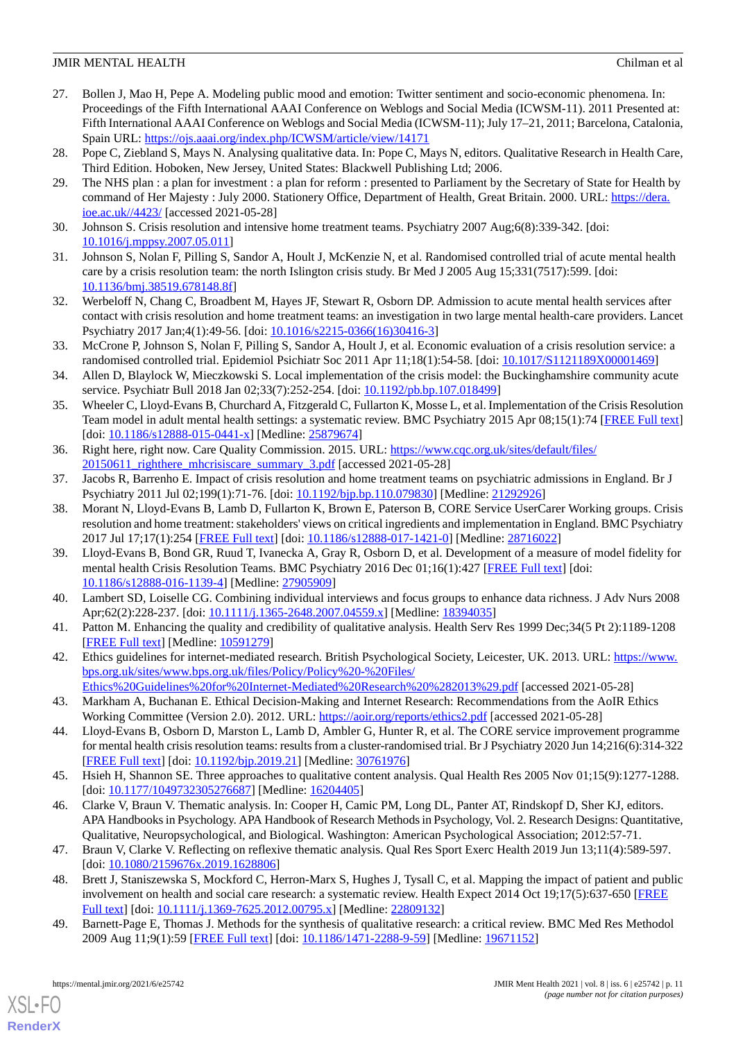- <span id="page-10-0"></span>27. Bollen J, Mao H, Pepe A. Modeling public mood and emotion: Twitter sentiment and socio-economic phenomena. In: Proceedings of the Fifth International AAAI Conference on Weblogs and Social Media (ICWSM-11). 2011 Presented at: Fifth International AAAI Conference on Weblogs and Social Media (ICWSM-11); July 17–21, 2011; Barcelona, Catalonia, Spain URL:<https://ojs.aaai.org/index.php/ICWSM/article/view/14171>
- <span id="page-10-2"></span><span id="page-10-1"></span>28. Pope C, Ziebland S, Mays N. Analysing qualitative data. In: Pope C, Mays N, editors. Qualitative Research in Health Care, Third Edition. Hoboken, New Jersey, United States: Blackwell Publishing Ltd; 2006.
- <span id="page-10-3"></span>29. The NHS plan : a plan for investment : a plan for reform : presented to Parliament by the Secretary of State for Health by command of Her Majesty : July 2000. Stationery Office, Department of Health, Great Britain. 2000. URL: [https://dera.](https://dera.ioe.ac.uk//4423/) [ioe.ac.uk//4423/](https://dera.ioe.ac.uk//4423/) [accessed 2021-05-28]
- <span id="page-10-4"></span>30. Johnson S. Crisis resolution and intensive home treatment teams. Psychiatry 2007 Aug;6(8):339-342. [doi: [10.1016/j.mppsy.2007.05.011\]](http://dx.doi.org/10.1016/j.mppsy.2007.05.011)
- <span id="page-10-5"></span>31. Johnson S, Nolan F, Pilling S, Sandor A, Hoult J, McKenzie N, et al. Randomised controlled trial of acute mental health care by a crisis resolution team: the north Islington crisis study. Br Med J 2005 Aug 15;331(7517):599. [doi: [10.1136/bmj.38519.678148.8f](http://dx.doi.org/10.1136/bmj.38519.678148.8f)]
- <span id="page-10-6"></span>32. Werbeloff N, Chang C, Broadbent M, Hayes JF, Stewart R, Osborn DP. Admission to acute mental health services after contact with crisis resolution and home treatment teams: an investigation in two large mental health-care providers. Lancet Psychiatry 2017 Jan;4(1):49-56. [doi: [10.1016/s2215-0366\(16\)30416-3\]](http://dx.doi.org/10.1016/s2215-0366(16)30416-3)
- <span id="page-10-7"></span>33. McCrone P, Johnson S, Nolan F, Pilling S, Sandor A, Hoult J, et al. Economic evaluation of a crisis resolution service: a randomised controlled trial. Epidemiol Psichiatr Soc 2011 Apr 11;18(1):54-58. [doi: [10.1017/S1121189X00001469\]](http://dx.doi.org/10.1017/S1121189X00001469)
- <span id="page-10-8"></span>34. Allen D, Blaylock W, Mieczkowski S. Local implementation of the crisis model: the Buckinghamshire community acute service. Psychiatr Bull 2018 Jan 02;33(7):252-254. [doi: [10.1192/pb.bp.107.018499\]](http://dx.doi.org/10.1192/pb.bp.107.018499)
- <span id="page-10-9"></span>35. Wheeler C, Lloyd-Evans B, Churchard A, Fitzgerald C, Fullarton K, Mosse L, et al. Implementation of the Crisis Resolution Team model in adult mental health settings: a systematic review. BMC Psychiatry 2015 Apr 08;15(1):74 [\[FREE Full text](https://bmcpsychiatry.biomedcentral.com/articles/10.1186/s12888-015-0441-x)] [doi: [10.1186/s12888-015-0441-x](http://dx.doi.org/10.1186/s12888-015-0441-x)] [Medline: [25879674\]](http://www.ncbi.nlm.nih.gov/entrez/query.fcgi?cmd=Retrieve&db=PubMed&list_uids=25879674&dopt=Abstract)
- <span id="page-10-11"></span><span id="page-10-10"></span>36. Right here, right now. Care Quality Commission. 2015. URL: [https://www.cqc.org.uk/sites/default/files/](https://www.cqc.org.uk/sites/default/files/20150611_righthere_mhcrisiscare_summary_3.pdf) [20150611\\_righthere\\_mhcrisiscare\\_summary\\_3.pdf](https://www.cqc.org.uk/sites/default/files/20150611_righthere_mhcrisiscare_summary_3.pdf) [accessed 2021-05-28]
- 37. Jacobs R, Barrenho E. Impact of crisis resolution and home treatment teams on psychiatric admissions in England. Br J Psychiatry 2011 Jul 02;199(1):71-76. [doi: [10.1192/bjp.bp.110.079830](http://dx.doi.org/10.1192/bjp.bp.110.079830)] [Medline: [21292926](http://www.ncbi.nlm.nih.gov/entrez/query.fcgi?cmd=Retrieve&db=PubMed&list_uids=21292926&dopt=Abstract)]
- <span id="page-10-12"></span>38. Morant N, Lloyd-Evans B, Lamb D, Fullarton K, Brown E, Paterson B, CORE Service UserCarer Working groups. Crisis resolution and home treatment: stakeholders' views on critical ingredients and implementation in England. BMC Psychiatry 2017 Jul 17;17(1):254 [\[FREE Full text\]](https://bmcpsychiatry.biomedcentral.com/articles/10.1186/s12888-017-1421-0) [doi: [10.1186/s12888-017-1421-0](http://dx.doi.org/10.1186/s12888-017-1421-0)] [Medline: [28716022\]](http://www.ncbi.nlm.nih.gov/entrez/query.fcgi?cmd=Retrieve&db=PubMed&list_uids=28716022&dopt=Abstract)
- <span id="page-10-14"></span><span id="page-10-13"></span>39. Lloyd-Evans B, Bond GR, Ruud T, Ivanecka A, Gray R, Osborn D, et al. Development of a measure of model fidelity for mental health Crisis Resolution Teams. BMC Psychiatry 2016 Dec 01;16(1):427 [\[FREE Full text\]](https://bmcpsychiatry.biomedcentral.com/articles/10.1186/s12888-016-1139-4) [doi: [10.1186/s12888-016-1139-4\]](http://dx.doi.org/10.1186/s12888-016-1139-4) [Medline: [27905909](http://www.ncbi.nlm.nih.gov/entrez/query.fcgi?cmd=Retrieve&db=PubMed&list_uids=27905909&dopt=Abstract)]
- <span id="page-10-15"></span>40. Lambert SD, Loiselle CG. Combining individual interviews and focus groups to enhance data richness. J Adv Nurs 2008 Apr;62(2):228-237. [doi: [10.1111/j.1365-2648.2007.04559.x](http://dx.doi.org/10.1111/j.1365-2648.2007.04559.x)] [Medline: [18394035](http://www.ncbi.nlm.nih.gov/entrez/query.fcgi?cmd=Retrieve&db=PubMed&list_uids=18394035&dopt=Abstract)]
- <span id="page-10-16"></span>41. Patton M. Enhancing the quality and credibility of qualitative analysis. Health Serv Res 1999 Dec;34(5 Pt 2):1189-1208 [[FREE Full text](http://europepmc.org/abstract/MED/10591279)] [Medline: [10591279](http://www.ncbi.nlm.nih.gov/entrez/query.fcgi?cmd=Retrieve&db=PubMed&list_uids=10591279&dopt=Abstract)]
- <span id="page-10-17"></span>42. Ethics guidelines for internet-mediated research. British Psychological Society, Leicester, UK. 2013. URL: [https://www.](https://www.bps.org.uk/sites/www.bps.org.uk/files/Policy/Policy%20-%20Files/Ethics%20Guidelines%20for%20Internet-Mediated%20Research%20%282013%29.pdf) [bps.org.uk/sites/www.bps.org.uk/files/Policy/Policy%20-%20Files/](https://www.bps.org.uk/sites/www.bps.org.uk/files/Policy/Policy%20-%20Files/Ethics%20Guidelines%20for%20Internet-Mediated%20Research%20%282013%29.pdf) [Ethics%20Guidelines%20for%20Internet-Mediated%20Research%20%282013%29.pdf](https://www.bps.org.uk/sites/www.bps.org.uk/files/Policy/Policy%20-%20Files/Ethics%20Guidelines%20for%20Internet-Mediated%20Research%20%282013%29.pdf) [accessed 2021-05-28]
- <span id="page-10-18"></span>43. Markham A, Buchanan E. Ethical Decision-Making and Internet Research: Recommendations from the AoIR Ethics Working Committee (Version 2.0). 2012. URL:<https://aoir.org/reports/ethics2.pdf> [accessed 2021-05-28]
- <span id="page-10-19"></span>44. Lloyd-Evans B, Osborn D, Marston L, Lamb D, Ambler G, Hunter R, et al. The CORE service improvement programme for mental health crisis resolution teams: results from a cluster-randomised trial. Br J Psychiatry 2020 Jun 14;216(6):314-322 [[FREE Full text](http://europepmc.org/abstract/MED/30761976)] [doi: [10.1192/bjp.2019.21\]](http://dx.doi.org/10.1192/bjp.2019.21) [Medline: [30761976](http://www.ncbi.nlm.nih.gov/entrez/query.fcgi?cmd=Retrieve&db=PubMed&list_uids=30761976&dopt=Abstract)]
- <span id="page-10-20"></span>45. Hsieh H, Shannon SE. Three approaches to qualitative content analysis. Qual Health Res 2005 Nov 01;15(9):1277-1288. [doi: [10.1177/1049732305276687](http://dx.doi.org/10.1177/1049732305276687)] [Medline: [16204405\]](http://www.ncbi.nlm.nih.gov/entrez/query.fcgi?cmd=Retrieve&db=PubMed&list_uids=16204405&dopt=Abstract)
- <span id="page-10-21"></span>46. Clarke V, Braun V. Thematic analysis. In: Cooper H, Camic PM, Long DL, Panter AT, Rindskopf D, Sher KJ, editors. APA Handbooks in Psychology. APA Handbook of Research Methods in Psychology, Vol. 2. Research Designs: Quantitative, Qualitative, Neuropsychological, and Biological. Washington: American Psychological Association; 2012:57-71.
- <span id="page-10-22"></span>47. Braun V, Clarke V. Reflecting on reflexive thematic analysis. Qual Res Sport Exerc Health 2019 Jun 13;11(4):589-597. [doi: [10.1080/2159676x.2019.1628806](http://dx.doi.org/10.1080/2159676x.2019.1628806)]
- 48. Brett J, Staniszewska S, Mockford C, Herron-Marx S, Hughes J, Tysall C, et al. Mapping the impact of patient and public involvement on health and social care research: a systematic review. Health Expect 2014 Oct 19;17(5):637-650 [\[FREE](http://europepmc.org/abstract/MED/22809132) [Full text\]](http://europepmc.org/abstract/MED/22809132) [doi: [10.1111/j.1369-7625.2012.00795.x\]](http://dx.doi.org/10.1111/j.1369-7625.2012.00795.x) [Medline: [22809132](http://www.ncbi.nlm.nih.gov/entrez/query.fcgi?cmd=Retrieve&db=PubMed&list_uids=22809132&dopt=Abstract)]
- 49. Barnett-Page E, Thomas J. Methods for the synthesis of qualitative research: a critical review. BMC Med Res Methodol 2009 Aug 11;9(1):59 [[FREE Full text](https://bmcmedresmethodol.biomedcentral.com/articles/10.1186/1471-2288-9-59)] [doi: [10.1186/1471-2288-9-59\]](http://dx.doi.org/10.1186/1471-2288-9-59) [Medline: [19671152](http://www.ncbi.nlm.nih.gov/entrez/query.fcgi?cmd=Retrieve&db=PubMed&list_uids=19671152&dopt=Abstract)]